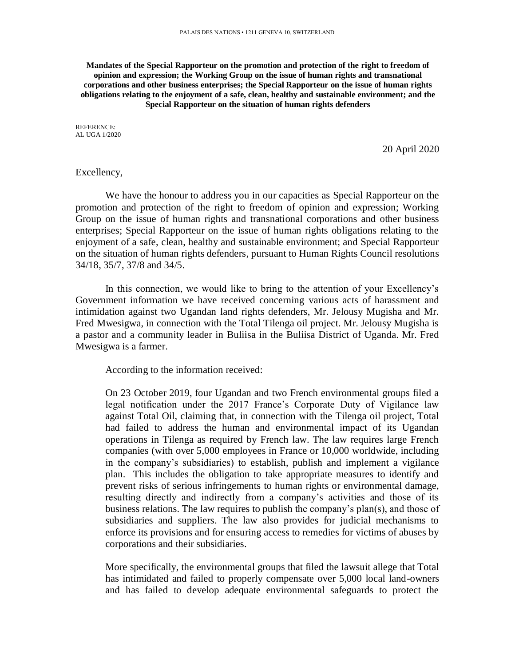**Mandates of the Special Rapporteur on the promotion and protection of the right to freedom of opinion and expression; the Working Group on the issue of human rights and transnational corporations and other business enterprises; the Special Rapporteur on the issue of human rights obligations relating to the enjoyment of a safe, clean, healthy and sustainable environment; and the Special Rapporteur on the situation of human rights defenders**

REFERENCE: AL UGA 1/2020

20 April 2020

## Excellency,

We have the honour to address you in our capacities as Special Rapporteur on the promotion and protection of the right to freedom of opinion and expression; Working Group on the issue of human rights and transnational corporations and other business enterprises; Special Rapporteur on the issue of human rights obligations relating to the enjoyment of a safe, clean, healthy and sustainable environment; and Special Rapporteur on the situation of human rights defenders, pursuant to Human Rights Council resolutions 34/18, 35/7, 37/8 and 34/5.

In this connection, we would like to bring to the attention of your Excellency's Government information we have received concerning various acts of harassment and intimidation against two Ugandan land rights defenders, Mr. Jelousy Mugisha and Mr. Fred Mwesigwa, in connection with the Total Tilenga oil project. Mr. Jelousy Mugisha is a pastor and a community leader in Buliisa in the Buliisa District of Uganda. Mr. Fred Mwesigwa is a farmer.

According to the information received:

On 23 October 2019, four Ugandan and two French environmental groups filed a legal notification under the 2017 France's Corporate Duty of Vigilance law against Total Oil, claiming that, in connection with the Tilenga oil project, Total had failed to address the human and environmental impact of its Ugandan operations in Tilenga as required by French law. The law requires large French companies (with over 5,000 employees in France or 10,000 worldwide, including in the company's subsidiaries) to establish, publish and implement a vigilance plan. This includes the obligation to take appropriate measures to identify and prevent risks of serious infringements to human rights or environmental damage, resulting directly and indirectly from a company's activities and those of its business relations. The law requires to publish the company's plan(s), and those of subsidiaries and suppliers. The law also provides for judicial mechanisms to enforce its provisions and for ensuring access to remedies for victims of abuses by corporations and their subsidiaries.

More specifically, the environmental groups that filed the lawsuit allege that Total has intimidated and failed to properly compensate over 5,000 local land-owners and has failed to develop adequate environmental safeguards to protect the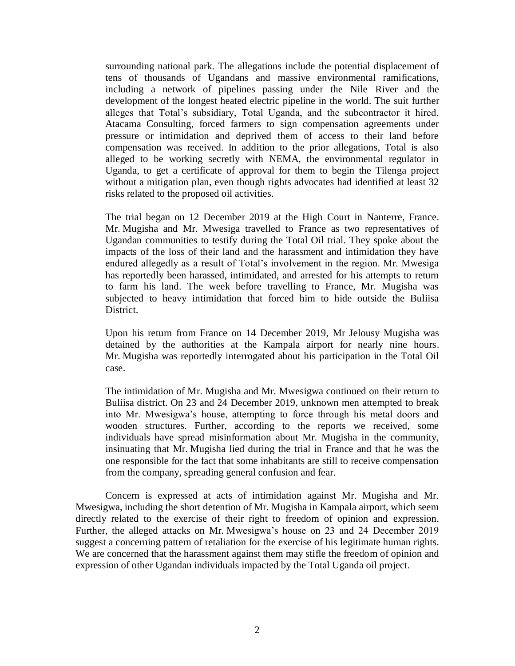surrounding national park. The allegations include the potential displacement of tens of thousands of Ugandans and massive environmental ramifications, including a network of pipelines passing under the Nile River and the development of the longest heated electric pipeline in the world. The suit further alleges that Total's subsidiary, Total Uganda, and the subcontractor it hired, Atacama Consulting, forced farmers to sign compensation agreements under pressure or intimidation and deprived them of access to their land before compensation was received. In addition to the prior allegations, Total is also alleged to be working secretly with NEMA, the environmental regulator in Uganda, to get a certificate of approval for them to begin the Tilenga project without a mitigation plan, even though rights advocates had identified at least 32 risks related to the proposed oil activities.

The trial began on 12 December 2019 at the High Court in Nanterre, France. Mr. Mugisha and Mr. Mwesiga travelled to France as two representatives of Ugandan communities to testify during the Total Oil trial. They spoke about the impacts of the loss of their land and the harassment and intimidation they have endured allegedly as a result of Total's involvement in the region. Mr. Mwesiga has reportedly been harassed, intimidated, and arrested for his attempts to return to farm his land. The week before travelling to France, Mr. Mugisha was subjected to heavy intimidation that forced him to hide outside the Buliisa District.

Upon his return from France on 14 December 2019, Mr Jelousy Mugisha was detained by the authorities at the Kampala airport for nearly nine hours. Mr. Mugisha was reportedly interrogated about his participation in the Total Oil case.

The intimidation of Mr. Mugisha and Mr. Mwesigwa continued on their return to Buliisa district. On 23 and 24 December 2019, unknown men attempted to break into Mr. Mwesigwa's house, attempting to force through his metal doors and wooden structures. Further, according to the reports we received, some individuals have spread misinformation about Mr. Mugisha in the community, insinuating that Mr. Mugisha lied during the trial in France and that he was the one responsible for the fact that some inhabitants are still to receive compensation from the company, spreading general confusion and fear.

Concern is expressed at acts of intimidation against Mr. Mugisha and Mr. Mwesigwa, including the short detention of Mr. Mugisha in Kampala airport, which seem directly related to the exercise of their right to freedom of opinion and expression. Further, the alleged attacks on Mr. Mwesigwa's house on 23 and 24 December 2019 suggest a concerning pattern of retaliation for the exercise of his legitimate human rights. We are concerned that the harassment against them may stifle the freedom of opinion and expression of other Ugandan individuals impacted by the Total Uganda oil project.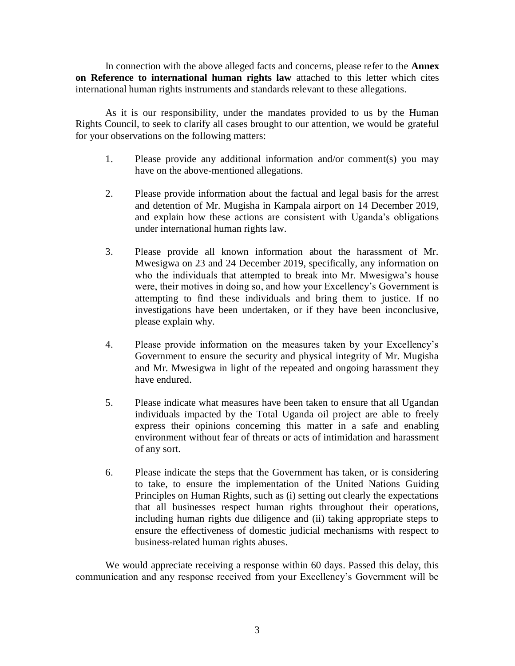In connection with the above alleged facts and concerns, please refer to the **Annex on Reference to international human rights law** attached to this letter which cites international human rights instruments and standards relevant to these allegations.

As it is our responsibility, under the mandates provided to us by the Human Rights Council, to seek to clarify all cases brought to our attention, we would be grateful for your observations on the following matters:

- 1. Please provide any additional information and/or comment(s) you may have on the above-mentioned allegations.
- 2. Please provide information about the factual and legal basis for the arrest and detention of Mr. Mugisha in Kampala airport on 14 December 2019, and explain how these actions are consistent with Uganda's obligations under international human rights law.
- 3. Please provide all known information about the harassment of Mr. Mwesigwa on 23 and 24 December 2019, specifically, any information on who the individuals that attempted to break into Mr. Mwesigwa's house were, their motives in doing so, and how your Excellency's Government is attempting to find these individuals and bring them to justice. If no investigations have been undertaken, or if they have been inconclusive, please explain why.
- 4. Please provide information on the measures taken by your Excellency's Government to ensure the security and physical integrity of Mr. Mugisha and Mr. Mwesigwa in light of the repeated and ongoing harassment they have endured.
- 5. Please indicate what measures have been taken to ensure that all Ugandan individuals impacted by the Total Uganda oil project are able to freely express their opinions concerning this matter in a safe and enabling environment without fear of threats or acts of intimidation and harassment of any sort.
- 6. Please indicate the steps that the Government has taken, or is considering to take, to ensure the implementation of the United Nations Guiding Principles on Human Rights, such as (i) setting out clearly the expectations that all businesses respect human rights throughout their operations, including human rights due diligence and (ii) taking appropriate steps to ensure the effectiveness of domestic judicial mechanisms with respect to business-related human rights abuses.

We would appreciate receiving a response within 60 days. Passed this delay, this communication and any response received from your Excellency's Government will be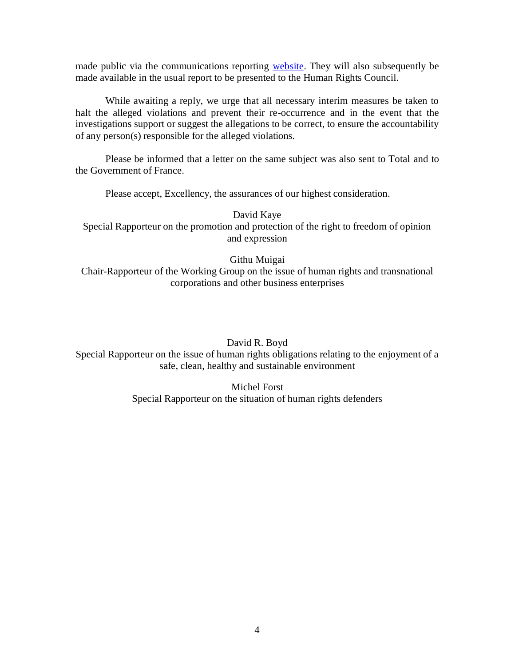made public via the communications reporting [website.](https://spcommreports.ohchr.org/) They will also subsequently be made available in the usual report to be presented to the Human Rights Council.

While awaiting a reply, we urge that all necessary interim measures be taken to halt the alleged violations and prevent their re-occurrence and in the event that the investigations support or suggest the allegations to be correct, to ensure the accountability of any person(s) responsible for the alleged violations.

Please be informed that a letter on the same subject was also sent to Total and to the Government of France.

Please accept, Excellency, the assurances of our highest consideration.

David Kaye Special Rapporteur on the promotion and protection of the right to freedom of opinion and expression

Githu Muigai

Chair-Rapporteur of the Working Group on the issue of human rights and transnational corporations and other business enterprises

David R. Boyd

Special Rapporteur on the issue of human rights obligations relating to the enjoyment of a safe, clean, healthy and sustainable environment

Michel Forst

Special Rapporteur on the situation of human rights defenders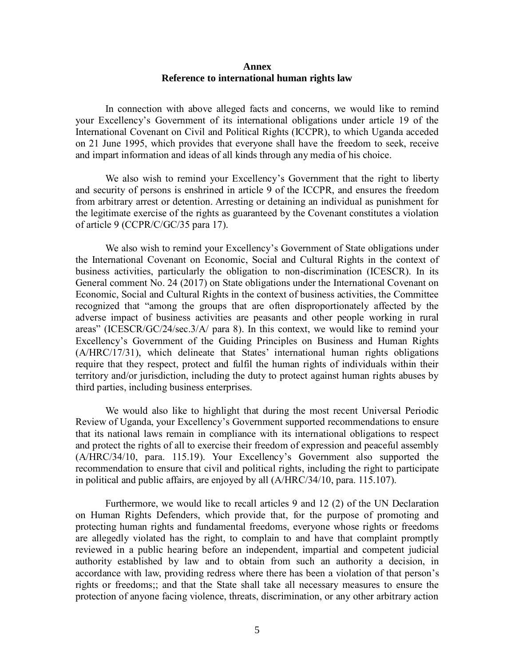## **Annex Reference to international human rights law**

In connection with above alleged facts and concerns, we would like to remind your Excellency's Government of its international obligations under article 19 of the International Covenant on Civil and Political Rights (ICCPR), to which Uganda acceded on 21 June 1995, which provides that everyone shall have the freedom to seek, receive and impart information and ideas of all kinds through any media of his choice.

We also wish to remind your Excellency's Government that the right to liberty and security of persons is enshrined in article 9 of the ICCPR, and ensures the freedom from arbitrary arrest or detention. Arresting or detaining an individual as punishment for the legitimate exercise of the rights as guaranteed by the Covenant constitutes a violation of article 9 (CCPR/C/GC/35 para 17).

We also wish to remind your Excellency's Government of State obligations under the International Covenant on Economic, Social and Cultural Rights in the context of business activities, particularly the obligation to non-discrimination (ICESCR). In its General comment No. 24 (2017) on State obligations under the International Covenant on Economic, Social and Cultural Rights in the context of business activities, the Committee recognized that "among the groups that are often disproportionately affected by the adverse impact of business activities are peasants and other people working in rural areas" (ICESCR/GC/24/sec.3/A/ para 8). In this context, we would like to remind your Excellency's Government of the Guiding Principles on Business and Human Rights (A/HRC/17/31), which delineate that States' international human rights obligations require that they respect, protect and fulfil the human rights of individuals within their territory and/or jurisdiction, including the duty to protect against human rights abuses by third parties, including business enterprises.

We would also like to highlight that during the most recent Universal Periodic Review of Uganda, your Excellency's Government supported recommendations to ensure that its national laws remain in compliance with its international obligations to respect and protect the rights of all to exercise their freedom of expression and peaceful assembly (A/HRC/34/10, para. 115.19). Your Excellency's Government also supported the recommendation to ensure that civil and political rights, including the right to participate in political and public affairs, are enjoyed by all (A/HRC/34/10, para. 115.107).

Furthermore, we would like to recall articles 9 and 12 (2) of the UN Declaration on Human Rights Defenders, which provide that, for the purpose of promoting and protecting human rights and fundamental freedoms, everyone whose rights or freedoms are allegedly violated has the right, to complain to and have that complaint promptly reviewed in a public hearing before an independent, impartial and competent judicial authority established by law and to obtain from such an authority a decision, in accordance with law, providing redress where there has been a violation of that person's rights or freedoms;; and that the State shall take all necessary measures to ensure the protection of anyone facing violence, threats, discrimination, or any other arbitrary action